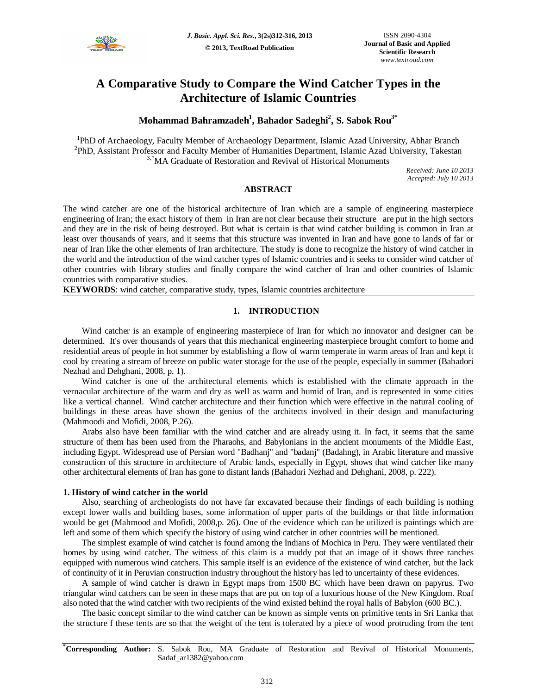

# **A Comparative Study to Compare the Wind Catcher Types in the Architecture of Islamic Countries**

## **Mohammad Bahramzadeh 1 , Bahador Sadeghi<sup>2</sup> , S. Sabok Rou3\***

<sup>1</sup>PhD of Archaeology, Faculty Member of Archaeology Department, Islamic Azad University, Abhar Branch <sup>2</sup>PhD, Assistant Professor and Faculty Member of Humanities Department, Islamic Azad University, Takestan <sup>3,\*</sup>MA Graduate of Restoration and Revival of Historical Monuments

> *Received: June 10 2013 Accepted: July 10 2013*

## **ABSTRACT**

The wind catcher are one of the historical architecture of Iran which are a sample of engineering masterpiece engineering of Iran; the exact history of them in Iran are not clear because their structure are put in the high sectors and they are in the risk of being destroyed. But what is certain is that wind catcher building is common in Iran at least over thousands of years, and it seems that this structure was invented in Iran and have gone to lands of far or near of Iran like the other elements of Iran architecture. The study is done to recognize the history of wind catcher in the world and the introduction of the wind catcher types of Islamic countries and it seeks to consider wind catcher of other countries with library studies and finally compare the wind catcher of Iran and other countries of Islamic countries with comparative studies.

**KEYWORDS**: wind catcher, comparative study, types, Islamic countries architecture

## **1. INTRODUCTION**

Wind catcher is an example of engineering masterpiece of Iran for which no innovator and designer can be determined. It's over thousands of years that this mechanical engineering masterpiece brought comfort to home and residential areas of people in hot summer by establishing a flow of warm temperate in warm areas of Iran and kept it cool by creating a stream of breeze on public water storage for the use of the people, especially in summer (Bahadori Nezhad and Dehghani, 2008, p. 1).

Wind catcher is one of the architectural elements which is established with the climate approach in the vernacular architecture of the warm and dry as well as warm and humid of Iran, and is represented in some cities like a vertical channel. Wind catcher architecture and their function which were effective in the natural cooling of buildings in these areas have shown the genius of the architects involved in their design and manufacturing (Mahmoodi and Mofidi, 2008, P.26).

Arabs also have been familiar with the wind catcher and are already using it. In fact, it seems that the same structure of them has been used from the Pharaohs, and Babylonians in the ancient monuments of the Middle East, including Egypt. Widespread use of Persian word "Badhanj" and "badanj" (Badahng), in Arabic literature and massive construction of this structure in architecture of Arabic lands, especially in Egypt, shows that wind catcher like many other architectural elements of Iran has gone to distant lands (Bahadori Nezhad and Dehghani, 2008, p. 222).

#### **1. History of wind catcher in the world**

Also, searching of archeologists do not have far excavated because their findings of each building is nothing except lower walls and building bases, some information of upper parts of the buildings or that little information would be get (Mahmood and Mofidi, 2008,p. 26). One of the evidence which can be utilized is paintings which are left and some of them which specify the history of using wind catcher in other countries will be mentioned.

The simplest example of wind catcher is found among the Indians of Mochica in Peru. They were ventilated their homes by using wind catcher. The witness of this claim is a muddy pot that an image of it shows three ranches equipped with numerous wind catchers. This sample itself is an evidence of the existence of wind catcher, but the lack of continuity of it in Peruvian construction industry throughout the history has led to uncertainty of these evidences.

A sample of wind catcher is drawn in Egypt maps from 1500 BC which have been drawn on papyrus. Two triangular wind catchers can be seen in these maps that are put on top of a luxurious house of the New Kingdom. Roaf also noted that the wind catcher with two recipients of the wind existed behind the royal halls of Babylon (600 BC.).

The basic concept similar to the wind catcher can be known as simple vents on primitive tents in Sri Lanka that the structure f these tents are so that the weight of the tent is tolerated by a piece of wood protruding from the tent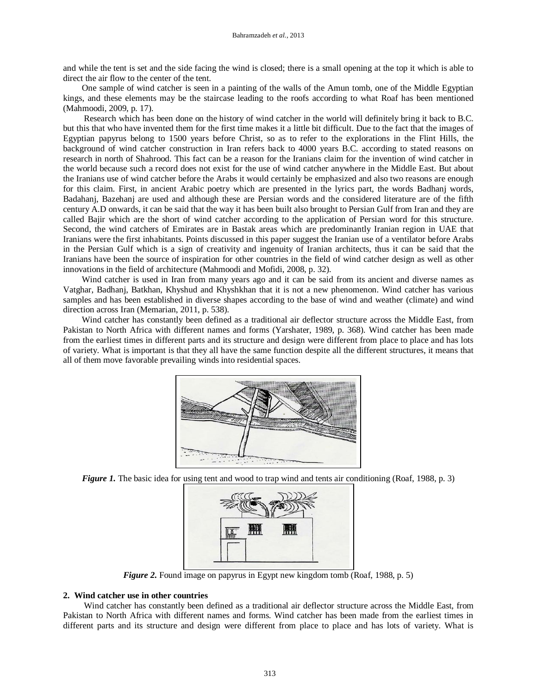and while the tent is set and the side facing the wind is closed; there is a small opening at the top it which is able to direct the air flow to the center of the tent.

One sample of wind catcher is seen in a painting of the walls of the Amun tomb, one of the Middle Egyptian kings, and these elements may be the staircase leading to the roofs according to what Roaf has been mentioned (Mahmoodi, 2009, p. 17).

Research which has been done on the history of wind catcher in the world will definitely bring it back to B.C. but this that who have invented them for the first time makes it a little bit difficult. Due to the fact that the images of Egyptian papyrus belong to 1500 years before Christ, so as to refer to the explorations in the Flint Hills, the background of wind catcher construction in Iran refers back to 4000 years B.C. according to stated reasons on research in north of Shahrood. This fact can be a reason for the Iranians claim for the invention of wind catcher in the world because such a record does not exist for the use of wind catcher anywhere in the Middle East. But about the Iranians use of wind catcher before the Arabs it would certainly be emphasized and also two reasons are enough for this claim. First, in ancient Arabic poetry which are presented in the lyrics part, the words Badhanj words, Badahanj, Bazehanj are used and although these are Persian words and the considered literature are of the fifth century A.D onwards, it can be said that the way it has been built also brought to Persian Gulf from Iran and they are called Bajir which are the short of wind catcher according to the application of Persian word for this structure. Second, the wind catchers of Emirates are in Bastak areas which are predominantly Iranian region in UAE that Iranians were the first inhabitants. Points discussed in this paper suggest the Iranian use of a ventilator before Arabs in the Persian Gulf which is a sign of creativity and ingenuity of Iranian architects, thus it can be said that the Iranians have been the source of inspiration for other countries in the field of wind catcher design as well as other innovations in the field of architecture (Mahmoodi and Mofidi, 2008, p. 32).

Wind catcher is used in Iran from many years ago and it can be said from its ancient and diverse names as Vatghar, Badhanj, Batkhan, Khyshud and Khyshkhan that it is not a new phenomenon. Wind catcher has various samples and has been established in diverse shapes according to the base of wind and weather (climate) and wind direction across Iran (Memarian, 2011, p. 538).

Wind catcher has constantly been defined as a traditional air deflector structure across the Middle East, from Pakistan to North Africa with different names and forms (Yarshater, 1989, p. 368). Wind catcher has been made from the earliest times in different parts and its structure and design were different from place to place and has lots of variety. What is important is that they all have the same function despite all the different structures, it means that all of them move favorable prevailing winds into residential spaces.



*Figure 1.* The basic idea for using tent and wood to trap wind and tents air conditioning (Roaf, 1988, p. 3)



*Figure 2.* Found image on papyrus in Egypt new kingdom tomb (Roaf, 1988, p. 5)

## **2. Wind catcher use in other countries**

Wind catcher has constantly been defined as a traditional air deflector structure across the Middle East, from Pakistan to North Africa with different names and forms. Wind catcher has been made from the earliest times in different parts and its structure and design were different from place to place and has lots of variety. What is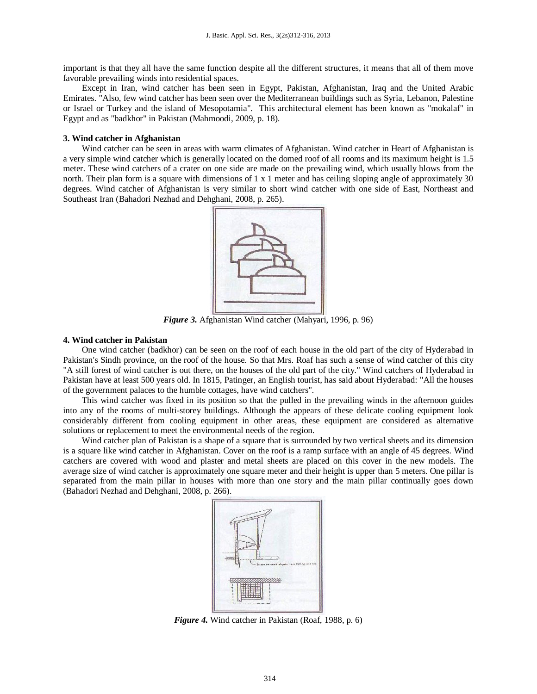important is that they all have the same function despite all the different structures, it means that all of them move favorable prevailing winds into residential spaces.

Except in Iran, wind catcher has been seen in Egypt, Pakistan, Afghanistan, Iraq and the United Arabic Emirates. "Also, few wind catcher has been seen over the Mediterranean buildings such as Syria, Lebanon, Palestine or Israel or Turkey and the island of Mesopotamia". This architectural element has been known as "mokalaf" in Egypt and as "badkhor" in Pakistan (Mahmoodi, 2009, p. 18).

#### **3. Wind catcher in Afghanistan**

Wind catcher can be seen in areas with warm climates of Afghanistan. Wind catcher in Heart of Afghanistan is a very simple wind catcher which is generally located on the domed roof of all rooms and its maximum height is 1.5 meter. These wind catchers of a crater on one side are made on the prevailing wind, which usually blows from the north. Their plan form is a square with dimensions of 1 x 1 meter and has ceiling sloping angle of approximately 30 degrees. Wind catcher of Afghanistan is very similar to short wind catcher with one side of East, Northeast and Southeast Iran (Bahadori Nezhad and Dehghani, 2008, p. 265).



*Figure 3.* Afghanistan Wind catcher (Mahyari, 1996, p. 96)

#### **4. Wind catcher in Pakistan**

One wind catcher (badkhor) can be seen on the roof of each house in the old part of the city of Hyderabad in Pakistan's Sindh province, on the roof of the house. So that Mrs. Roaf has such a sense of wind catcher of this city "A still forest of wind catcher is out there, on the houses of the old part of the city." Wind catchers of Hyderabad in Pakistan have at least 500 years old. In 1815, Patinger, an English tourist, has said about Hyderabad: "All the houses of the government palaces to the humble cottages, have wind catchers".

This wind catcher was fixed in its position so that the pulled in the prevailing winds in the afternoon guides into any of the rooms of multi-storey buildings. Although the appears of these delicate cooling equipment look considerably different from cooling equipment in other areas, these equipment are considered as alternative solutions or replacement to meet the environmental needs of the region.

Wind catcher plan of Pakistan is a shape of a square that is surrounded by two vertical sheets and its dimension is a square like wind catcher in Afghanistan. Cover on the roof is a ramp surface with an angle of 45 degrees. Wind catchers are covered with wood and plaster and metal sheets are placed on this cover in the new models. The average size of wind catcher is approximately one square meter and their height is upper than 5 meters. One pillar is separated from the main pillar in houses with more than one story and the main pillar continually goes down (Bahadori Nezhad and Dehghani, 2008, p. 266).



*Figure 4.* Wind catcher in Pakistan (Roaf, 1988, p. 6)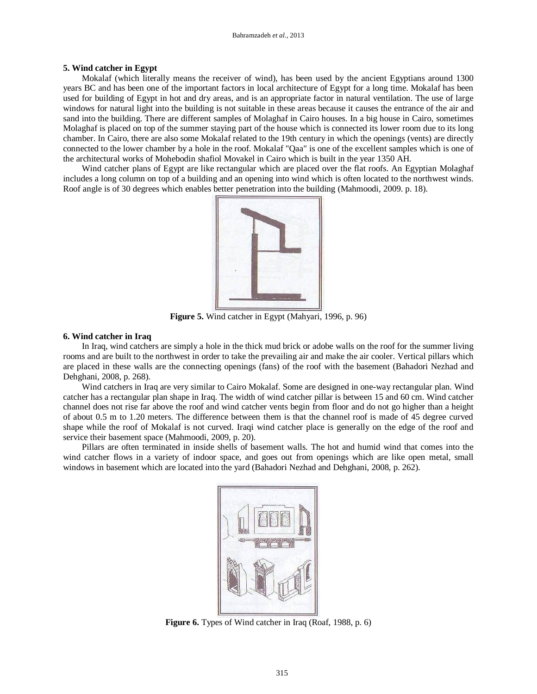#### **5. Wind catcher in Egypt**

Mokalaf (which literally means the receiver of wind), has been used by the ancient Egyptians around 1300 years BC and has been one of the important factors in local architecture of Egypt for a long time. Mokalaf has been used for building of Egypt in hot and dry areas, and is an appropriate factor in natural ventilation. The use of large windows for natural light into the building is not suitable in these areas because it causes the entrance of the air and sand into the building. There are different samples of Molaghaf in Cairo houses. In a big house in Cairo, sometimes Molaghaf is placed on top of the summer staying part of the house which is connected its lower room due to its long chamber. In Cairo, there are also some Mokalaf related to the 19th century in which the openings (vents) are directly connected to the lower chamber by a hole in the roof. Mokalaf "Qaa" is one of the excellent samples which is one of the architectural works of Mohebodin shafiol Movakel in Cairo which is built in the year 1350 AH.

Wind catcher plans of Egypt are like rectangular which are placed over the flat roofs. An Egyptian Molaghaf includes a long column on top of a building and an opening into wind which is often located to the northwest winds. Roof angle is of 30 degrees which enables better penetration into the building (Mahmoodi, 2009. p. 18).



**Figure 5.** Wind catcher in Egypt (Mahyari, 1996, p. 96)

### **6. Wind catcher in Iraq**

In Iraq, wind catchers are simply a hole in the thick mud brick or adobe walls on the roof for the summer living rooms and are built to the northwest in order to take the prevailing air and make the air cooler. Vertical pillars which are placed in these walls are the connecting openings (fans) of the roof with the basement (Bahadori Nezhad and Dehghani, 2008, p. 268).

Wind catchers in Iraq are very similar to Cairo Mokalaf. Some are designed in one-way rectangular plan. Wind catcher has a rectangular plan shape in Iraq. The width of wind catcher pillar is between 15 and 60 cm. Wind catcher channel does not rise far above the roof and wind catcher vents begin from floor and do not go higher than a height of about 0.5 m to 1.20 meters. The difference between them is that the channel roof is made of 45 degree curved shape while the roof of Mokalaf is not curved. Iraqi wind catcher place is generally on the edge of the roof and service their basement space (Mahmoodi, 2009, p. 20).

Pillars are often terminated in inside shells of basement walls. The hot and humid wind that comes into the wind catcher flows in a variety of indoor space, and goes out from openings which are like open metal, small windows in basement which are located into the yard (Bahadori Nezhad and Dehghani, 2008, p. 262).



**Figure 6.** Types of Wind catcher in Iraq (Roaf, 1988, p. 6)